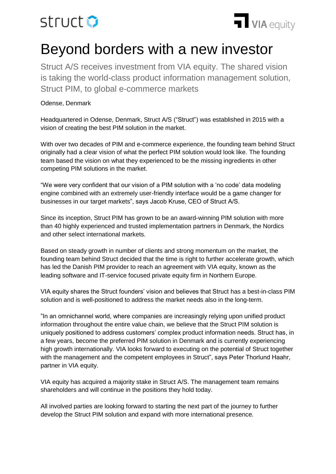# struct **O**



# Beyond borders with a new investor

Struct A/S receives investment from VIA equity. The shared vision is taking the world-class product information management solution, Struct PIM, to global e-commerce markets

## Odense, Denmark

Headquartered in Odense, Denmark, Struct A/S ("Struct") was established in 2015 with a vision of creating the best PIM solution in the market.

With over two decades of PIM and e-commerce experience, the founding team behind Struct originally had a clear vision of what the perfect PIM solution would look like. The founding team based the vision on what they experienced to be the missing ingredients in other competing PIM solutions in the market.

"We were very confident that our vision of a PIM solution with a 'no code' data modeling engine combined with an extremely user-friendly interface would be a game changer for businesses in our target markets", says Jacob Kruse, CEO of Struct A/S.

Since its inception, Struct PIM has grown to be an award-winning PIM solution with more than 40 highly experienced and trusted implementation partners in Denmark, the Nordics and other select international markets.

Based on steady growth in number of clients and strong momentum on the market, the founding team behind Struct decided that the time is right to further accelerate growth, which has led the Danish PIM provider to reach an agreement with VIA equity, known as the leading software and IT-service focused private equity firm in Northern Europe.

VIA equity shares the Struct founders' vision and believes that Struct has a best-in-class PIM solution and is well-positioned to address the market needs also in the long-term.

"In an omnichannel world, where companies are increasingly relying upon unified product information throughout the entire value chain, we believe that the Struct PIM solution is uniquely positioned to address customers' complex product information needs. Struct has, in a few years, become the preferred PIM solution in Denmark and is currently experiencing high growth internationally. VIA looks forward to executing on the potential of Struct together with the management and the competent employees in Struct", says Peter Thorlund Haahr, partner in VIA equity.

VIA equity has acquired a majority stake in Struct A/S. The management team remains shareholders and will continue in the positions they hold today.

All involved parties are looking forward to starting the next part of the journey to further develop the Struct PIM solution and expand with more international presence.